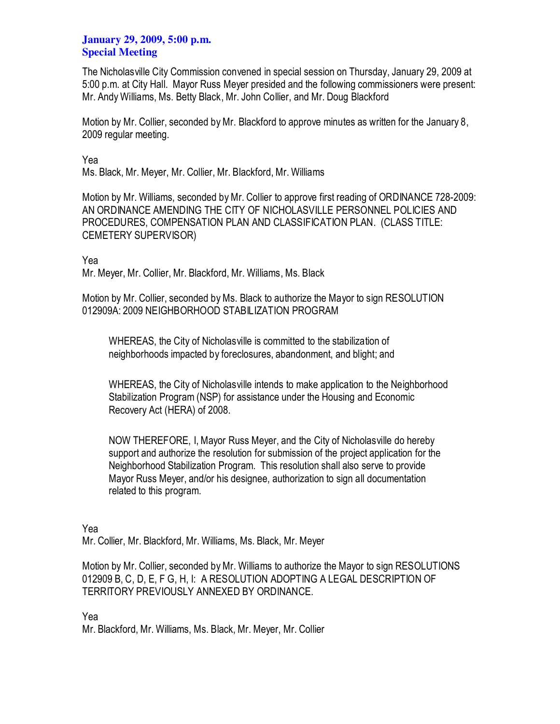## **January 29, 2009, 5:00 p.m. Special Meeting**

The Nicholasville City Commission convened in special session on Thursday, January 29, 2009 at 5:00 p.m. at City Hall. Mayor Russ Meyer presided and the following commissioners were present: Mr. Andy Williams, Ms. Betty Black, Mr. John Collier, and Mr. Doug Blackford

Motion by Mr. Collier, seconded by Mr. Blackford to approve minutes as written for the January 8, 2009 regular meeting.

Yea Ms. Black, Mr. Meyer, Mr. Collier, Mr. Blackford, Mr. Williams

Motion by Mr. Williams, seconded by Mr. Collier to approve first reading of ORDINANCE 728-2009: AN ORDINANCE AMENDING THE CITY OF NICHOLASVILLE PERSONNEL POLICIES AND PROCEDURES, COMPENSATION PLAN AND CLASSIFICATION PLAN. (CLASS TITLE: CEMETERY SUPERVISOR)

Yea

Mr. Meyer, Mr. Collier, Mr. Blackford, Mr. Williams, Ms. Black

Motion by Mr. Collier, seconded by Ms. Black to authorize the Mayor to sign RESOLUTION 012909A: 2009 NEIGHBORHOOD STABILIZATION PROGRAM

WHEREAS, the City of Nicholasville is committed to the stabilization of neighborhoods impacted by foreclosures, abandonment, and blight; and

WHEREAS, the City of Nicholasville intends to make application to the Neighborhood Stabilization Program (NSP) for assistance under the Housing and Economic Recovery Act (HERA) of 2008.

NOW THEREFORE, I, Mayor Russ Meyer, and the City of Nicholasville do hereby support and authorize the resolution for submission of the project application for the Neighborhood Stabilization Program. This resolution shall also serve to provide Mayor Russ Meyer, and/or his designee, authorization to sign all documentation related to this program.

Yea

Mr. Collier, Mr. Blackford, Mr. Williams, Ms. Black, Mr. Meyer

Motion by Mr. Collier, seconded by Mr. Williams to authorize the Mayor to sign RESOLUTIONS 012909 B, C, D, E, F G, H, I: A RESOLUTION ADOPTING A LEGAL DESCRIPTION OF TERRITORY PREVIOUSLY ANNEXED BY ORDINANCE.

Yea

Mr. Blackford, Mr. Williams, Ms. Black, Mr. Meyer, Mr. Collier